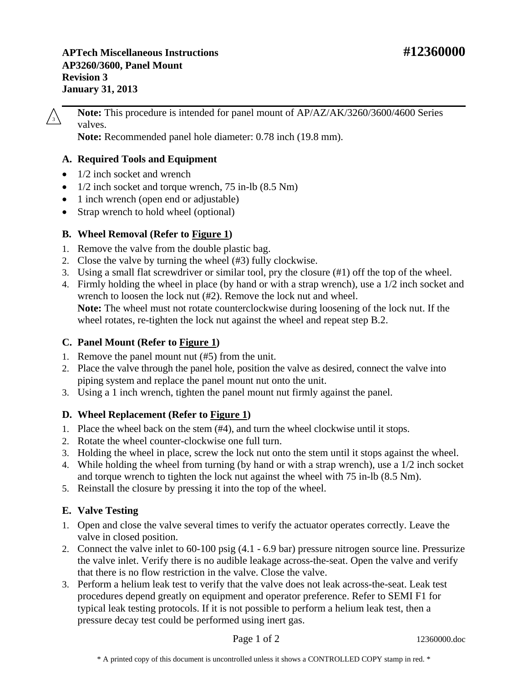**APTech Miscellaneous Instructions #12360000 AP3260/3600, Panel Mount Revision 3 January 31, 2013** 

**Note:** This procedure is intended for panel mount of AP/AZ/AK/3260/3600/4600 Series  $\sqrt{3}$  ivole.

**Note:** Recommended panel hole diameter: 0.78 inch (19.8 mm).

## **A. Required Tools and Equipment**

- 1/2 inch socket and wrench
- $1/2$  inch socket and torque wrench, 75 in-lb  $(8.5 \text{ Nm})$
- 1 inch wrench (open end or adjustable)
- Strap wrench to hold wheel (optional)

## **B. Wheel Removal (Refer to [Figure 1\)](#page-1-0)**

- 1. Remove the valve from the double plastic bag.
- 2. Close the valve by turning the wheel (#3) fully clockwise.
- 3. Using a small flat screwdriver or similar tool, pry the closure (#1) off the top of the wheel.
- 4. Firmly holding the wheel in place (by hand or with a strap wrench), use a 1/2 inch socket and wrench to loosen the lock nut (#2). Remove the lock nut and wheel. **Note:** The wheel must not rotate counterclockwise during loosening of the lock nut. If the wheel rotates, re-tighten the lock nut against the wheel and repeat step B.2.

# **C. Panel Mount (Refer to [Figure 1\)](#page-1-0)**

- 1. Remove the panel mount nut (#5) from the unit.
- 2. Place the valve through the panel hole, position the valve as desired, connect the valve into piping system and replace the panel mount nut onto the unit.
- 3. Using a 1 inch wrench, tighten the panel mount nut firmly against the panel.

## **D. Wheel Replacement (Refer to [Figure 1\)](#page-1-0)**

- 1. Place the wheel back on the stem (#4), and turn the wheel clockwise until it stops.
- 2. Rotate the wheel counter-clockwise one full turn.
- 3. Holding the wheel in place, screw the lock nut onto the stem until it stops against the wheel.
- 4. While holding the wheel from turning (by hand or with a strap wrench), use a 1/2 inch socket and torque wrench to tighten the lock nut against the wheel with 75 in-lb (8.5 Nm).
- 5. Reinstall the closure by pressing it into the top of the wheel.

## **E. Valve Testing**

- 1. Open and close the valve several times to verify the actuator operates correctly. Leave the valve in closed position.
- 2. Connect the valve inlet to 60-100 psig (4.1 6.9 bar) pressure nitrogen source line. Pressurize the valve inlet. Verify there is no audible leakage across-the-seat. Open the valve and verify that there is no flow restriction in the valve. Close the valve.
- 3. Perform a helium leak test to verify that the valve does not leak across-the-seat. Leak test procedures depend greatly on equipment and operator preference. Refer to SEMI F1 for typical leak testing protocols. If it is not possible to perform a helium leak test, then a pressure decay test could be performed using inert gas.

Page 1 of 2 12360000.doc